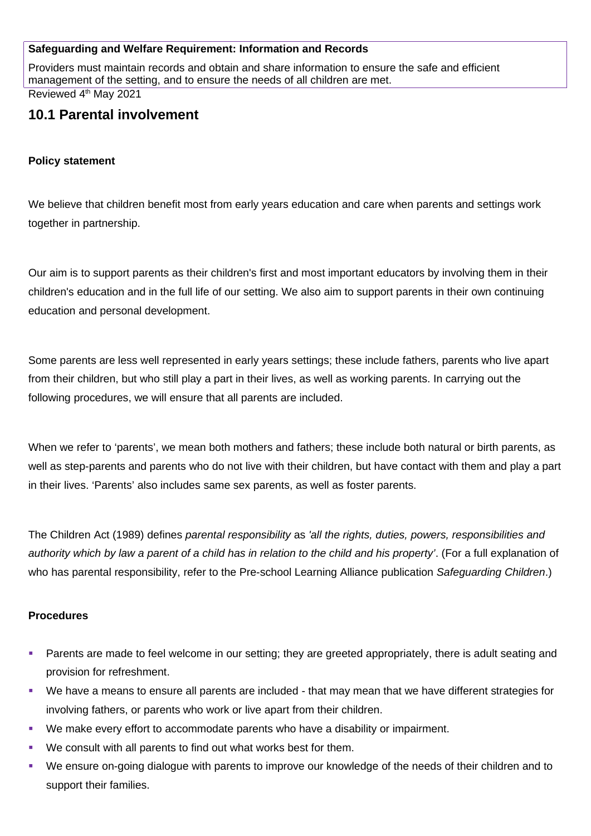## **Safeguarding and Welfare Requirement: Information and Records**

Providers must maintain records and obtain and share information to ensure the safe and efficient management of the setting, and to ensure the needs of all children are met.

Reviewed 4<sup>th</sup> May 2021

# **10.1 Parental involvement**

## **Policy statement**

We believe that children benefit most from early years education and care when parents and settings work together in partnership.

Our aim is to support parents as their children's first and most important educators by involving them in their children's education and in the full life of our setting. We also aim to support parents in their own continuing education and personal development.

Some parents are less well represented in early years settings; these include fathers, parents who live apart from their children, but who still play a part in their lives, as well as working parents. In carrying out the following procedures, we will ensure that all parents are included.

When we refer to 'parents', we mean both mothers and fathers; these include both natural or birth parents, as well as step-parents and parents who do not live with their children, but have contact with them and play a part in their lives. 'Parents' also includes same sex parents, as well as foster parents.

The Children Act (1989) defines *parental responsibility* as *'all the rights, duties, powers, responsibilities and authority which by law a parent of a child has in relation to the child and his property'*. (For a full explanation of who has parental responsibility, refer to the Pre-school Learning Alliance publication *Safeguarding Children*.)

## **Procedures**

- **Parents are made to feel welcome in our setting; they are greeted appropriately, there is adult seating and** provision for refreshment.
- We have a means to ensure all parents are included that may mean that we have different strategies for involving fathers, or parents who work or live apart from their children.
- We make every effort to accommodate parents who have a disability or impairment.
- We consult with all parents to find out what works best for them.
- We ensure on-going dialogue with parents to improve our knowledge of the needs of their children and to support their families.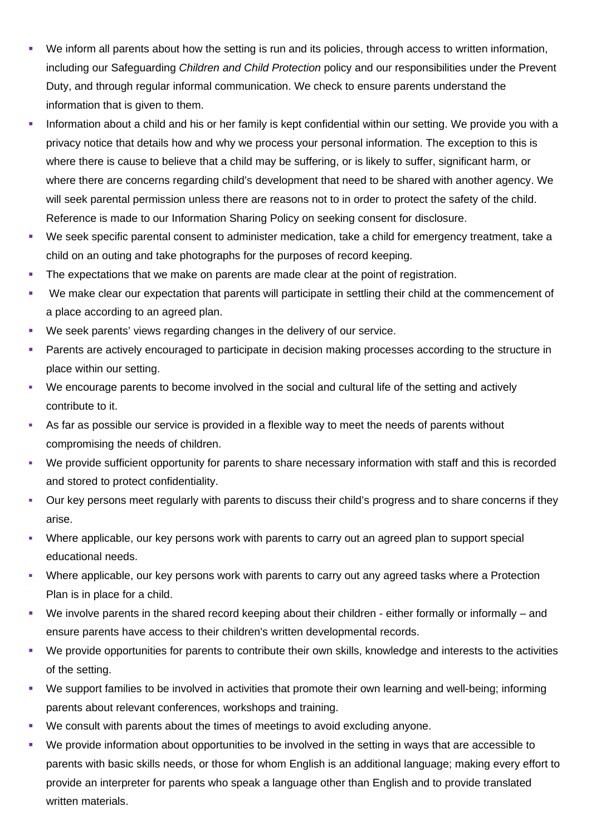- We inform all parents about how the setting is run and its policies, through access to written information, including our Safeguarding *Children and Child Protection* policy and our responsibilities under the Prevent Duty, and through regular informal communication. We check to ensure parents understand the information that is given to them.
- Information about a child and his or her family is kept confidential within our setting. We provide you with a privacy notice that details how and why we process your personal information. The exception to this is where there is cause to believe that a child may be suffering, or is likely to suffer, significant harm, or where there are concerns regarding child's development that need to be shared with another agency. We will seek parental permission unless there are reasons not to in order to protect the safety of the child. Reference is made to our Information Sharing Policy on seeking consent for disclosure.
- We seek specific parental consent to administer medication, take a child for emergency treatment, take a child on an outing and take photographs for the purposes of record keeping.
- The expectations that we make on parents are made clear at the point of registration.
- We make clear our expectation that parents will participate in settling their child at the commencement of a place according to an agreed plan.
- We seek parents' views regarding changes in the delivery of our service.
- **Parents are actively encouraged to participate in decision making processes according to the structure in** place within our setting.
- We encourage parents to become involved in the social and cultural life of the setting and actively contribute to it.
- As far as possible our service is provided in a flexible way to meet the needs of parents without compromising the needs of children.
- We provide sufficient opportunity for parents to share necessary information with staff and this is recorded and stored to protect confidentiality.
- Our key persons meet regularly with parents to discuss their child's progress and to share concerns if they arise.
- Where applicable, our key persons work with parents to carry out an agreed plan to support special educational needs.
- Where applicable, our key persons work with parents to carry out any agreed tasks where a Protection Plan is in place for a child.
- We involve parents in the shared record keeping about their children either formally or informally and ensure parents have access to their children's written developmental records.
- We provide opportunities for parents to contribute their own skills, knowledge and interests to the activities of the setting.
- We support families to be involved in activities that promote their own learning and well-being; informing parents about relevant conferences, workshops and training.
- We consult with parents about the times of meetings to avoid excluding anyone.
- We provide information about opportunities to be involved in the setting in ways that are accessible to parents with basic skills needs, or those for whom English is an additional language; making every effort to provide an interpreter for parents who speak a language other than English and to provide translated written materials.